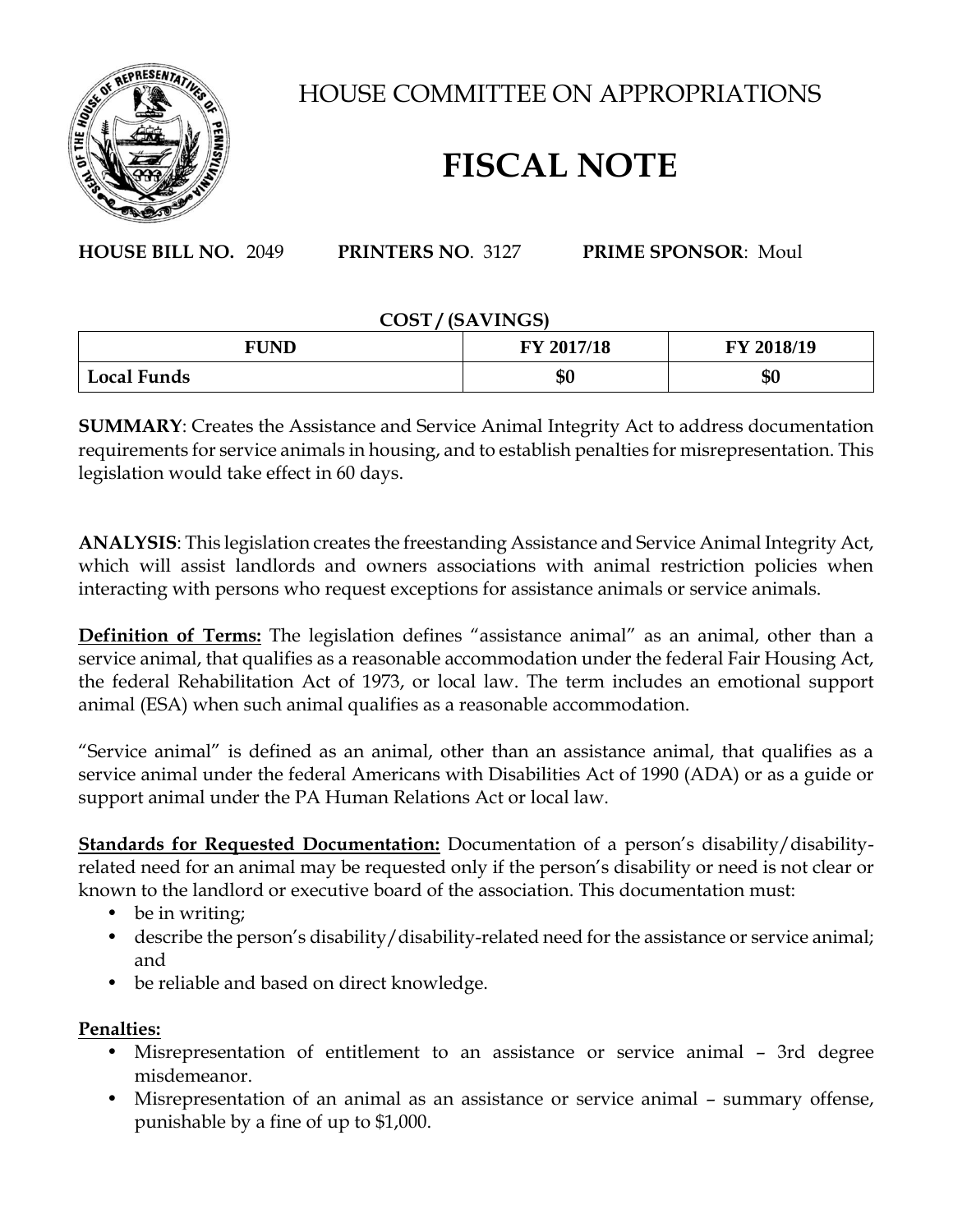

HOUSE COMMITTEE ON APPROPRIATIONS

## **FISCAL NOTE**

**HOUSE BILL NO.** 2049 **PRINTERS NO**. 3127 **PRIME SPONSOR**: Moul

## **COST / (SAVINGS)**

| <b>FUND</b>        | FY 2017/18 | FY 2018/19 |
|--------------------|------------|------------|
| <b>Local Funds</b> | \$0        | \$0        |

**SUMMARY**: Creates the Assistance and Service Animal Integrity Act to address documentation requirements for service animals in housing, and to establish penalties for misrepresentation. This legislation would take effect in 60 days.

**ANALYSIS**: This legislation creates the freestanding Assistance and Service Animal Integrity Act, which will assist landlords and owners associations with animal restriction policies when interacting with persons who request exceptions for assistance animals or service animals.

**Definition of Terms:** The legislation defines "assistance animal" as an animal, other than a service animal, that qualifies as a reasonable accommodation under the federal Fair Housing Act, the federal Rehabilitation Act of 1973, or local law. The term includes an emotional support animal (ESA) when such animal qualifies as a reasonable accommodation.

"Service animal" is defined as an animal, other than an assistance animal, that qualifies as a service animal under the federal Americans with Disabilities Act of 1990 (ADA) or as a guide or support animal under the PA Human Relations Act or local law.

**Standards for Requested Documentation:** Documentation of a person's disability/disabilityrelated need for an animal may be requested only if the person's disability or need is not clear or known to the landlord or executive board of the association. This documentation must:

- be in writing;
- describe the person's disability/disability-related need for the assistance or service animal; and
- be reliable and based on direct knowledge.

## **Penalties:**

- Misrepresentation of entitlement to an assistance or service animal 3rd degree misdemeanor.
- Misrepresentation of an animal as an assistance or service animal summary offense, punishable by a fine of up to \$1,000.